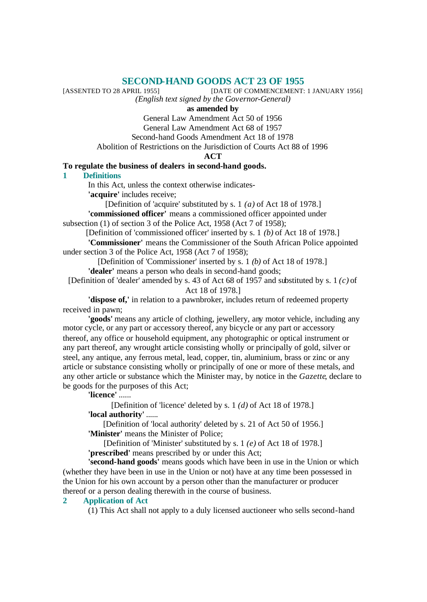# **SECOND-HAND GOODS ACT 23 OF 1955**<br>[DATE OF COMMENCEMENT:

[DATE OF COMMENCEMENT: 1 JANUARY 1956]

*(English text signed by the Governor-General)*

# **as amended by**

General Law Amendment Act 50 of 1956

General Law Amendment Act 68 of 1957

Second-hand Goods Amendment Act 18 of 1978

Abolition of Restrictions on the Jurisdiction of Courts Act 88 of 1996

#### **ACT**

## **To regulate the business of dealers in second-hand goods.**

# **1 Definitions**

In this Act, unless the context otherwise indicates-

**'acquire'** includes receive;

[Definition of 'acquire' substituted by s. 1 *(a)* of Act 18 of 1978.]

**'commissioned officer'** means a commissioned officer appointed under subsection (1) of section 3 of the Police Act, 1958 (Act 7 of 1958);

[Definition of 'commissioned officer' inserted by s. 1 *(b)* of Act 18 of 1978.]

**'Commissioner'** means the Commissioner of the South African Police appointed under section 3 of the Police Act, 1958 (Act 7 of 1958);

[Definition of 'Commissioner' inserted by s. 1 *(b)* of Act 18 of 1978.] **'dealer'** means a person who deals in second-hand goods;

[Definition of 'dealer' amended by s. 43 of Act 68 of 1957 and substituted by s. 1 *(c)* of

Act 18 of 1978.]

**'dispose of,'** in relation to a pawnbroker, includes return of redeemed property received in pawn;

**'goods'** means any article of clothing, jewellery, any motor vehicle, including any motor cycle, or any part or accessory thereof, any bicycle or any part or accessory thereof, any office or household equipment, any photographic or optical instrument or any part thereof, any wrought article consisting wholly or principally of gold, silver or steel, any antique, any ferrous metal, lead, copper, tin, aluminium, brass or zinc or any article or substance consisting wholly or principally of one or more of these metals, and any other article or substance which the Minister may, by notice in the *Gazette*, declare to be goods for the purposes of this Act;

**'licence'** ......

[Definition of 'licence' deleted by s. 1 *(d)* of Act 18 of 1978.] **'local authority'** ......

[Definition of 'local authority' deleted by s. 21 of Act 50 of 1956.] **'Minister'** means the Minister of Police;

[Definition of 'Minister' substituted by s. 1 *(e)* of Act 18 of 1978.]

**'prescribed'** means prescribed by or under this Act;

**'second-hand goods'** means goods which have been in use in the Union or which (whether they have been in use in the Union or not) have at any time been possessed in the Union for his own account by a person other than the manufacturer or producer thereof or a person dealing therewith in the course of business.

## **2 Application of Act**

(1) This Act shall not apply to a duly licensed auctioneer who sells second-hand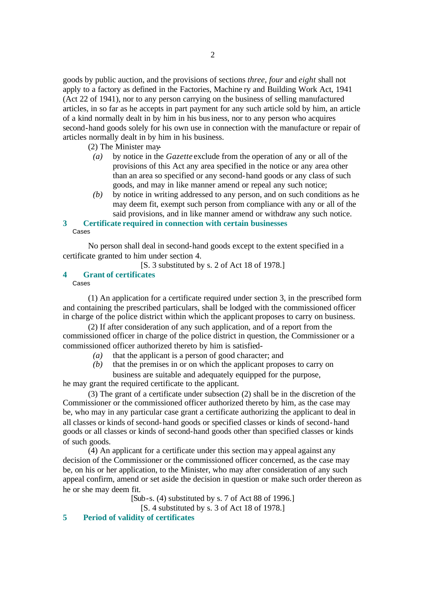goods by public auction, and the provisions of sections *three*, *four* and *eight* shall not apply to a factory as defined in the Factories, Machine ry and Building Work Act, 1941 (Act 22 of 1941), nor to any person carrying on the business of selling manufactured articles, in so far as he accepts in part payment for any such article sold by him, an article of a kind normally dealt in by him in his business, nor to any person who acquires second-hand goods solely for his own use in connection with the manufacture or repair of articles normally dealt in by him in his business.

## (2) The Minister may-

- *(a)* by notice in the *Gazette* exclude from the operation of any or all of the provisions of this Act any area specified in the notice or any area other than an area so specified or any second-hand goods or any class of such goods, and may in like manner amend or repeal any such notice;
- *(b)* by notice in writing addressed to any person, and on such conditions as he may deem fit, exempt such person from compliance with any or all of the said provisions, and in like manner amend or withdraw any such notice.

# **3 Certificate required in connection with certain businesses** Cases

No person shall deal in second-hand goods except to the extent specified in a certificate granted to him under section 4.

[S. 3 substituted by s. 2 of Act 18 of 1978.]

**4 Grant of certificates**

Cases

(1) An application for a certificate required under section 3, in the prescribed form and containing the prescribed particulars, shall be lodged with the commissioned officer in charge of the police district within which the applicant proposes to carry on business.

(2) If after consideration of any such application, and of a report from the commissioned officer in charge of the police district in question, the Commissioner or a commissioned officer authorized thereto by him is satisfied-

- *(a)* that the applicant is a person of good character; and
- *(b)* that the premises in or on which the applicant proposes to carry on

business are suitable and adequately equipped for the purpose, he may grant the required certificate to the applicant.

(3) The grant of a certificate under subsection (2) shall be in the discretion of the Commissioner or the commissioned officer authorized thereto by him, as the case may be, who may in any particular case grant a certificate authorizing the applicant to deal in all classes or kinds of second-hand goods or specified classes or kinds of second-hand goods or all classes or kinds of second-hand goods other than specified classes or kinds of such goods.

(4) An applicant for a certificate under this section may appeal against any decision of the Commissioner or the commissioned officer concerned, as the case may be, on his or her application, to the Minister, who may after consideration of any such appeal confirm, amend or set aside the decision in question or make such order thereon as he or she may deem fit.

 $[Sub-s. (4)$  substituted by s. 7 of Act 88 of 1996.

[S. 4 substituted by s. 3 of Act 18 of 1978.]

## **5 Period of validity of certificates**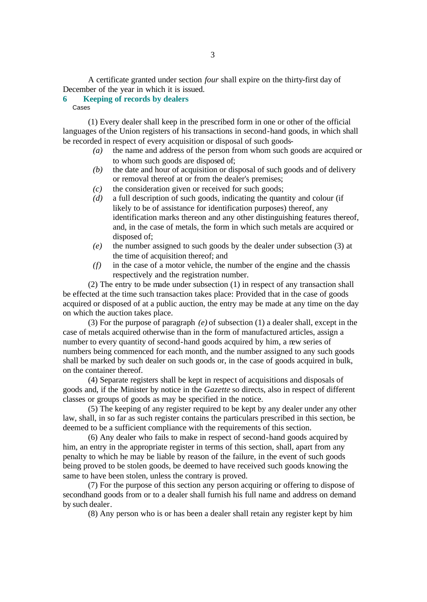A certificate granted under section *four* shall expire on the thirty-first day of December of the year in which it is issued.

# **6 Keeping of records by dealers**

Cases

(1) Every dealer shall keep in the prescribed form in one or other of the official languages of the Union registers of his transactions in second-hand goods, in which shall be recorded in respect of every acquisition or disposal of such goods-

- *(a)* the name and address of the person from whom such goods are acquired or to whom such goods are disposed of;
- *(b)* the date and hour of acquisition or disposal of such goods and of delivery or removal thereof at or from the dealer's premises;
- *(c)* the consideration given or received for such goods;
- *(d)* a full description of such goods, indicating the quantity and colour (if likely to be of assistance for identification purposes) thereof, any identification marks thereon and any other distinguishing features thereof, and, in the case of metals, the form in which such metals are acquired or disposed of;
- *(e)* the number assigned to such goods by the dealer under subsection (3) at the time of acquisition thereof; and
- *(f)* in the case of a motor vehicle, the number of the engine and the chassis respectively and the registration number.

(2) The entry to be made under subsection (1) in respect of any transaction shall be effected at the time such transaction takes place: Provided that in the case of goods acquired or disposed of at a public auction, the entry may be made at any time on the day on which the auction takes place.

(3) For the purpose of paragraph *(e)* of subsection (1) a dealer shall, except in the case of metals acquired otherwise than in the form of manufactured articles, assign a number to every quantity of second-hand goods acquired by him, a new series of numbers being commenced for each month, and the number assigned to any such goods shall be marked by such dealer on such goods or, in the case of goods acquired in bulk, on the container thereof.

(4) Separate registers shall be kept in respect of acquisitions and disposals of goods and, if the Minister by notice in the *Gazette* so directs, also in respect of different classes or groups of goods as may be specified in the notice.

(5) The keeping of any register required to be kept by any dealer under any other law, shall, in so far as such register contains the particulars prescribed in this section, be deemed to be a sufficient compliance with the requirements of this section.

(6) Any dealer who fails to make in respect of second-hand goods acquired by him, an entry in the appropriate register in terms of this section, shall, apart from any penalty to which he may be liable by reason of the failure, in the event of such goods being proved to be stolen goods, be deemed to have received such goods knowing the same to have been stolen, unless the contrary is proved.

(7) For the purpose of this section any person acquiring or offering to dispose of secondhand goods from or to a dealer shall furnish his full name and address on demand by such dealer.

(8) Any person who is or has been a dealer shall retain any register kept by him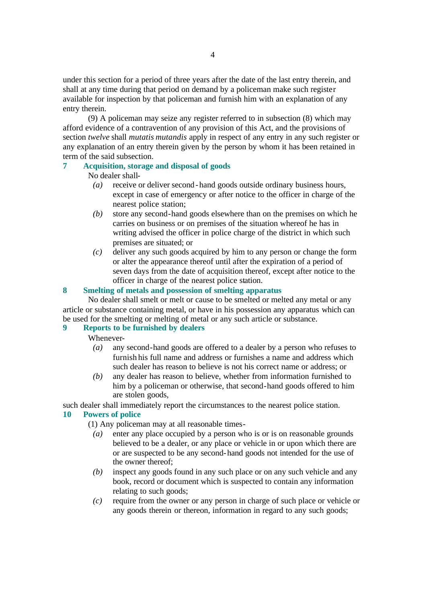under this section for a period of three years after the date of the last entry therein, and shall at any time during that period on demand by a policeman make such register available for inspection by that policeman and furnish him with an explanation of any entry therein.

(9) A policeman may seize any register referred to in subsection (8) which may afford evidence of a contravention of any provision of this Act, and the provisions of section *twelve* shall *mutatis mutandis* apply in respect of any entry in any such register or any explanation of an entry therein given by the person by whom it has been retained in term of the said subsection.

# **7 Acquisition, storage and disposal of goods**

# No dealer shall-

- *(a)* receive or deliver second-hand goods outside ordinary business hours, except in case of emergency or after notice to the officer in charge of the nearest police station;
- *(b)* store any second-hand goods elsewhere than on the premises on which he carries on business or on premises of the situation whereof he has in writing advised the officer in police charge of the district in which such premises are situated; or
- *(c)* deliver any such goods acquired by him to any person or change the form or alter the appearance thereof until after the expiration of a period of seven days from the date of acquisition thereof, except after notice to the officer in charge of the nearest police station.

# **8 Smelting of metals and possession of smelting apparatus**

No dealer shall smelt or melt or cause to be smelted or melted any metal or any article or substance containing metal, or have in his possession any apparatus which can be used for the smelting or melting of metal or any such article or substance.

# **9 Reports to be furnished by dealers**

### Whenever-

- *(a)* any second-hand goods are offered to a dealer by a person who refuses to furnish his full name and address or furnishes a name and address which such dealer has reason to believe is not his correct name or address; or
- *(b)* any dealer has reason to believe, whether from information furnished to him by a policeman or otherwise, that second-hand goods offered to him are stolen goods,

such dealer shall immediately report the circumstances to the nearest police station.

### **10 Powers of police**

(1) Any policeman may at all reasonable times-

- *(a)* enter any place occupied by a person who is or is on reasonable grounds believed to be a dealer, or any place or vehicle in or upon which there are or are suspected to be any second-hand goods not intended for the use of the owner thereof;
- *(b)* inspect any goods found in any such place or on any such vehicle and any book, record or document which is suspected to contain any information relating to such goods;
- *(c)* require from the owner or any person in charge of such place or vehicle or any goods therein or thereon, information in regard to any such goods;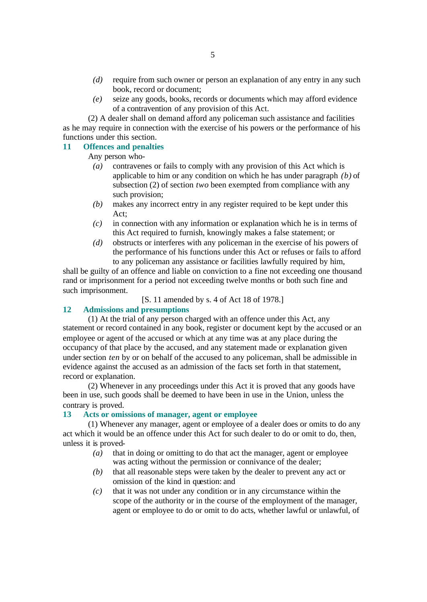- *(d)* require from such owner or person an explanation of any entry in any such book, record or document;
- *(e)* seize any goods, books, records or documents which may afford evidence of a contravention of any provision of this Act.

(2) A dealer shall on demand afford any policeman such assistance and facilities as he may require in connection with the exercise of his powers or the performance of his functions under this section.

## **11 Offences and penalties**

Any person who-

- *(a)* contravenes or fails to comply with any provision of this Act which is applicable to him or any condition on which he has under paragraph *(b)* of subsection (2) of section *two* been exempted from compliance with any such provision;
- *(b)* makes any incorrect entry in any register required to be kept under this Act;
- *(c)* in connection with any information or explanation which he is in terms of this Act required to furnish, knowingly makes a false statement; or
- *(d)* obstructs or interferes with any policeman in the exercise of his powers of the performance of his functions under this Act or refuses or fails to afford to any policeman any assistance or facilities lawfully required by him,

shall be guilty of an offence and liable on conviction to a fine not exceeding one thousand rand or imprisonment for a period not exceeding twelve months or both such fine and such imprisonment.

[S. 11 amended by s. 4 of Act 18 of 1978.]

## **12 Admissions and presumptions**

(1) At the trial of any person charged with an offence under this Act, any statement or record contained in any book, register or document kept by the accused or an employee or agent of the accused or which at any time was at any place during the occupancy of that place by the accused, and any statement made or explanation given under section *ten* by or on behalf of the accused to any policeman, shall be admissible in evidence against the accused as an admission of the facts set forth in that statement, record or explanation.

(2) Whenever in any proceedings under this Act it is proved that any goods have been in use, such goods shall be deemed to have been in use in the Union, unless the contrary is proved.

## **13 Acts or omissions of manager, agent or employee**

(1) Whenever any manager, agent or employee of a dealer does or omits to do any act which it would be an offence under this Act for such dealer to do or omit to do, then, unless it is proved-

- *(a)* that in doing or omitting to do that act the manager, agent or employee was acting without the permission or connivance of the dealer;
- *(b)* that all reasonable steps were taken by the dealer to prevent any act or omission of the kind in question: and
- *(c)* that it was not under any condition or in any circumstance within the scope of the authority or in the course of the employment of the manager, agent or employee to do or omit to do acts, whether lawful or unlawful, of